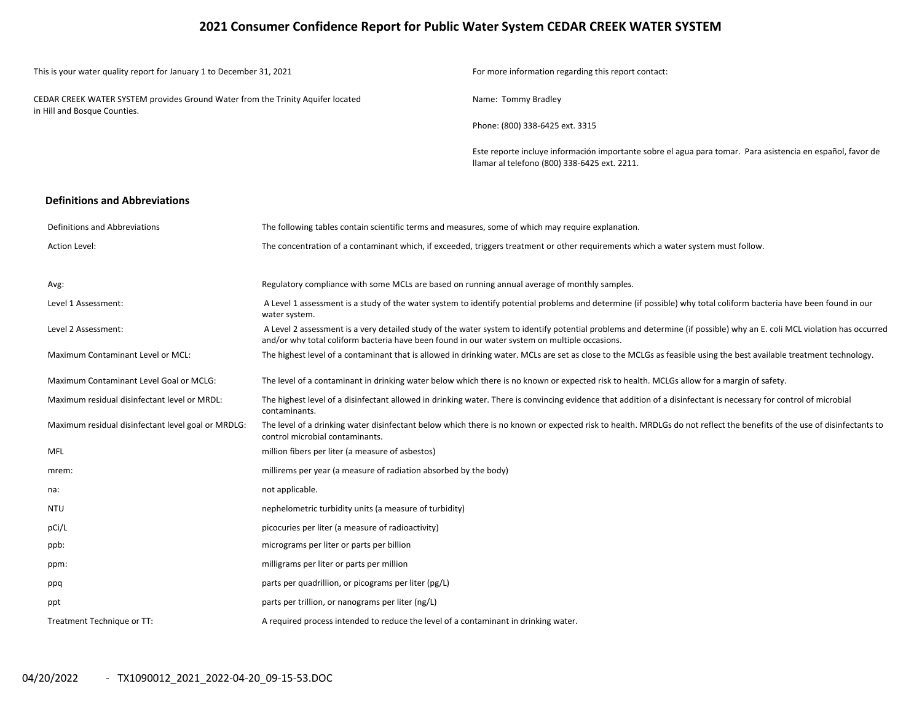## **2021 Consumer Confidence Report for Public Water System CEDAR CREEK WATER SYSTEM**

| This is your water quality report for January 1 to December 31, 2021                                            |                                                                                                                                                                                                                                                                         | For more information regarding this report contact:                                                                                                                    |  |  |  |  |  |
|-----------------------------------------------------------------------------------------------------------------|-------------------------------------------------------------------------------------------------------------------------------------------------------------------------------------------------------------------------------------------------------------------------|------------------------------------------------------------------------------------------------------------------------------------------------------------------------|--|--|--|--|--|
| CEDAR CREEK WATER SYSTEM provides Ground Water from the Trinity Aquifer located<br>in Hill and Bosque Counties. |                                                                                                                                                                                                                                                                         | Name: Tommy Bradley                                                                                                                                                    |  |  |  |  |  |
|                                                                                                                 |                                                                                                                                                                                                                                                                         | Phone: (800) 338-6425 ext. 3315                                                                                                                                        |  |  |  |  |  |
|                                                                                                                 |                                                                                                                                                                                                                                                                         | Este reporte incluye información importante sobre el agua para tomar. Para asistencia en español, favor de<br>Ilamar al telefono (800) 338-6425 ext. 2211.             |  |  |  |  |  |
| <b>Definitions and Abbreviations</b>                                                                            |                                                                                                                                                                                                                                                                         |                                                                                                                                                                        |  |  |  |  |  |
| Definitions and Abbreviations                                                                                   | The following tables contain scientific terms and measures, some of which may require explanation.                                                                                                                                                                      |                                                                                                                                                                        |  |  |  |  |  |
| Action Level:                                                                                                   |                                                                                                                                                                                                                                                                         | The concentration of a contaminant which, if exceeded, triggers treatment or other requirements which a water system must follow.                                      |  |  |  |  |  |
| Avg:                                                                                                            | Regulatory compliance with some MCLs are based on running annual average of monthly samples.                                                                                                                                                                            |                                                                                                                                                                        |  |  |  |  |  |
| Level 1 Assessment:                                                                                             | A Level 1 assessment is a study of the water system to identify potential problems and determine (if possible) why total coliform bacteria have been found in our<br>water system.                                                                                      |                                                                                                                                                                        |  |  |  |  |  |
| Level 2 Assessment:                                                                                             | A Level 2 assessment is a very detailed study of the water system to identify potential problems and determine (if possible) why an E. coli MCL violation has occurred<br>and/or why total coliform bacteria have been found in our water system on multiple occasions. |                                                                                                                                                                        |  |  |  |  |  |
| Maximum Contaminant Level or MCL:                                                                               |                                                                                                                                                                                                                                                                         | The highest level of a contaminant that is allowed in drinking water. MCLs are set as close to the MCLGs as feasible using the best available treatment technology.    |  |  |  |  |  |
| Maximum Contaminant Level Goal or MCLG:                                                                         |                                                                                                                                                                                                                                                                         | The level of a contaminant in drinking water below which there is no known or expected risk to health. MCLGs allow for a margin of safety.                             |  |  |  |  |  |
| Maximum residual disinfectant level or MRDL:                                                                    | contaminants.                                                                                                                                                                                                                                                           | The highest level of a disinfectant allowed in drinking water. There is convincing evidence that addition of a disinfectant is necessary for control of microbial      |  |  |  |  |  |
| Maximum residual disinfectant level goal or MRDLG:                                                              | control microbial contaminants.                                                                                                                                                                                                                                         | The level of a drinking water disinfectant below which there is no known or expected risk to health. MRDLGs do not reflect the benefits of the use of disinfectants to |  |  |  |  |  |
| <b>MFL</b>                                                                                                      | million fibers per liter (a measure of asbestos)                                                                                                                                                                                                                        |                                                                                                                                                                        |  |  |  |  |  |
| mrem:                                                                                                           | millirems per year (a measure of radiation absorbed by the body)                                                                                                                                                                                                        |                                                                                                                                                                        |  |  |  |  |  |
| na:                                                                                                             | not applicable.                                                                                                                                                                                                                                                         |                                                                                                                                                                        |  |  |  |  |  |
| NTU                                                                                                             | nephelometric turbidity units (a measure of turbidity)                                                                                                                                                                                                                  |                                                                                                                                                                        |  |  |  |  |  |
| pCi/L                                                                                                           | picocuries per liter (a measure of radioactivity)                                                                                                                                                                                                                       |                                                                                                                                                                        |  |  |  |  |  |
| ppb:                                                                                                            | micrograms per liter or parts per billion                                                                                                                                                                                                                               |                                                                                                                                                                        |  |  |  |  |  |
| ppm:                                                                                                            | milligrams per liter or parts per million                                                                                                                                                                                                                               |                                                                                                                                                                        |  |  |  |  |  |
| ppq                                                                                                             | parts per quadrillion, or picograms per liter (pg/L)                                                                                                                                                                                                                    |                                                                                                                                                                        |  |  |  |  |  |
| ppt                                                                                                             | parts per trillion, or nanograms per liter (ng/L)                                                                                                                                                                                                                       |                                                                                                                                                                        |  |  |  |  |  |
| Treatment Technique or TT:                                                                                      | A required process intended to reduce the level of a contaminant in drinking water.                                                                                                                                                                                     |                                                                                                                                                                        |  |  |  |  |  |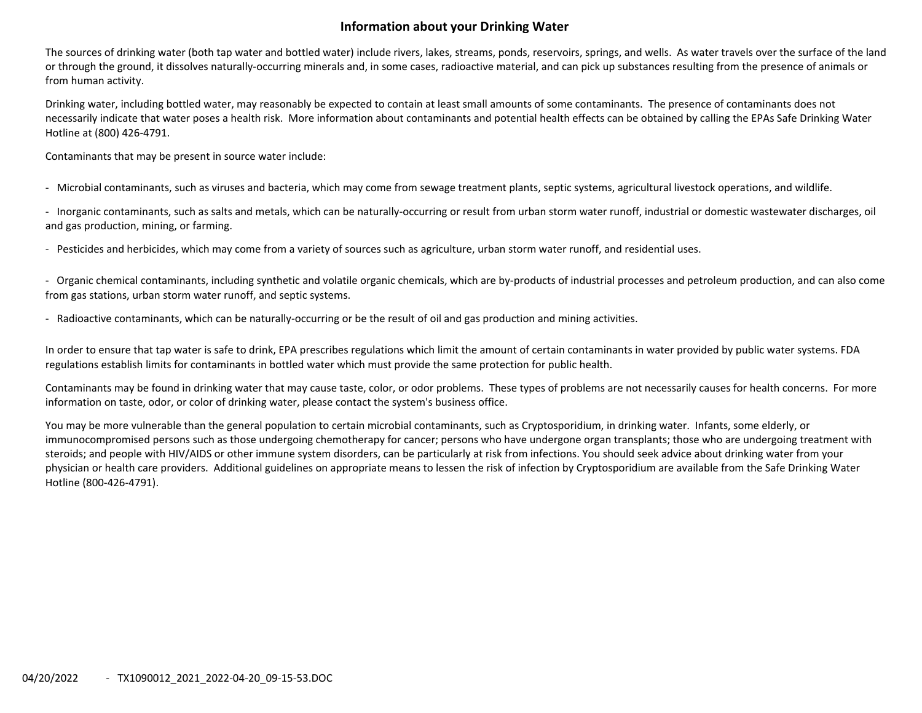## **Information about your Drinking Water**

The sources of drinking water (both tap water and bottled water) include rivers, lakes, streams, ponds, reservoirs, springs, and wells. As water travels over the surface of the land or through the ground, it dissolves naturally‐occurring minerals and, in some cases, radioactive material, and can pick up substances resulting from the presence of animals or from human activity.

Drinking water, including bottled water, may reasonably be expected to contain at least small amounts of some contaminants. The presence of contaminants does not necessarily indicate that water poses <sup>a</sup> health risk. More information about contaminants and potential health effects can be obtained by calling the EPAs Safe Drinking Water Hotline at (800) 426‐4791.

Contaminants that may be present in source water include:

‐ Microbial contaminants, such as viruses and bacteria, which may come from sewage treatment plants, septic systems, agricultural livestock operations, and wildlife.

‐ Inorganic contaminants, such as salts and metals, which can be naturally‐occurring or result from urban storm water runoff, industrial or domestic wastewater discharges, oil and gas production, mining, or farming.

‐ Pesticides and herbicides, which may come from <sup>a</sup> variety of sources such as agriculture, urban storm water runoff, and residential uses.

‐ Organic chemical contaminants, including synthetic and volatile organic chemicals, which are by‐products of industrial processes and petroleum production, and can also come from gas stations, urban storm water runoff, and septic systems.

‐ Radioactive contaminants, which can be naturally‐occurring or be the result of oil and gas production and mining activities.

In order to ensure that tap water is safe to drink, EPA prescribes regulations which limit the amount of certain contaminants in water provided by public water systems. FDA regulations establish limits for contaminants in bottled water which must provide the same protection for public health.

Contaminants may be found in drinking water that may cause taste, color, or odor problems. These types of problems are not necessarily causes for health concerns. For more information on taste, odor, or color of drinking water, please contact the system's business office.

You may be more vulnerable than the general population to certain microbial contaminants, such as Cryptosporidium, in drinking water. Infants, some elderly, or immunocompromised persons such as those undergoing chemotherapy for cancer; persons who have undergone organ transplants; those who are undergoing treatment with steroids; and people with HIV/AIDS or other immune system disorders, can be particularly at risk from infections. You should seek advice about drinking water from your physician or health care providers. Additional guidelines on appropriate means to lessen the risk of infection by Cryptosporidium are available from the Safe Drinking Water Hotline (800‐426‐4791).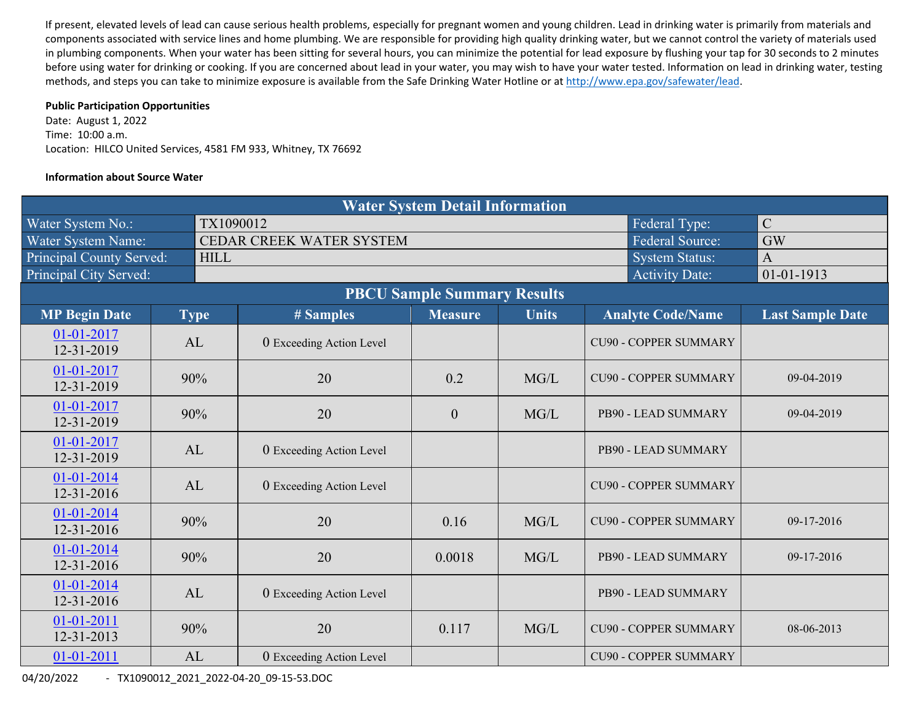If present, elevated levels of lead can cause serious health problems, especially for pregnant women and young children. Lead in drinking water is primarily from materials and components associated with service lines and home plumbing. We are responsible for providing high quality drinking water, but we cannot control the variety of materials used in plumbing components. When your water has been sitting for several hours, you can minimize the potential for lead exposure by flushing your tap for 30 seconds to 2 minutes before using water for drinking or cooking. If you are concerned about lead in your water, you may wish to have your water tested. Information on lead in drinking water, testing methods, and steps you can take to minimize exposure is available from the Safe Drinking Water Hotline or at http://www.epa.gov/safewater/lead.

#### **Public Participation Opportunities**

Date: August 1, 2022 Time: 10:00 a.m. Location: HILCO United Services, 4581 FM 933, Whitney, TX 76692

#### **Information about Source Water**

|                                    |  |             |                          | <b>Water System Detail Information</b> |              |  |                              |                         |  |
|------------------------------------|--|-------------|--------------------------|----------------------------------------|--------------|--|------------------------------|-------------------------|--|
| Water System No.:                  |  | TX1090012   |                          |                                        |              |  | Federal Type:                | $\mathcal{C}$           |  |
| Water System Name:                 |  |             | CEDAR CREEK WATER SYSTEM |                                        |              |  | <b>Federal Source:</b>       | <b>GW</b>               |  |
| Principal County Served:           |  | <b>HILL</b> |                          | $\mathbf{A}$                           |              |  |                              |                         |  |
| Principal City Served:             |  |             |                          |                                        |              |  | <b>Activity Date:</b>        | $01 - 01 - 1913$        |  |
| <b>PBCU Sample Summary Results</b> |  |             |                          |                                        |              |  |                              |                         |  |
| <b>MP Begin Date</b>               |  | <b>Type</b> | # Samples                | <b>Measure</b>                         | <b>Units</b> |  | <b>Analyte Code/Name</b>     | <b>Last Sample Date</b> |  |
| 01-01-2017<br>12-31-2019           |  | AL          | 0 Exceeding Action Level |                                        |              |  | <b>CU90 - COPPER SUMMARY</b> |                         |  |
| 01-01-2017<br>12-31-2019           |  | 90%         | 20                       | 0.2                                    | MG/L         |  | <b>CU90 - COPPER SUMMARY</b> | 09-04-2019              |  |
| 01-01-2017<br>12-31-2019           |  | 90%         | 20                       | $\mathbf{0}$                           | MG/L         |  | PB90 - LEAD SUMMARY          | 09-04-2019              |  |
| 01-01-2017<br>12-31-2019           |  | AL          | 0 Exceeding Action Level |                                        |              |  | PB90 - LEAD SUMMARY          |                         |  |
| 01-01-2014<br>12-31-2016           |  | AL          | 0 Exceeding Action Level |                                        |              |  | <b>CU90 - COPPER SUMMARY</b> |                         |  |
| 01-01-2014<br>12-31-2016           |  | 90%         | 20                       | 0.16                                   | MG/L         |  | <b>CU90 - COPPER SUMMARY</b> | 09-17-2016              |  |
| 01-01-2014<br>12-31-2016           |  | 90%         | 20                       | 0.0018                                 | MG/L         |  | PB90 - LEAD SUMMARY          | 09-17-2016              |  |
| 01-01-2014<br>$12 - 31 - 2016$     |  | AL          | 0 Exceeding Action Level |                                        |              |  | PB90 - LEAD SUMMARY          |                         |  |
| 01-01-2011<br>12-31-2013           |  | 90%         | 20                       | 0.117                                  | MG/L         |  | <b>CU90 - COPPER SUMMARY</b> | 08-06-2013              |  |
| $01 - 01 - 2011$                   |  | AL          | 0 Exceeding Action Level |                                        |              |  | <b>CU90 - COPPER SUMMARY</b> |                         |  |

04/20/2022 ‐ TX1090012\_2021\_2022‐04‐20\_09‐15‐53.DOC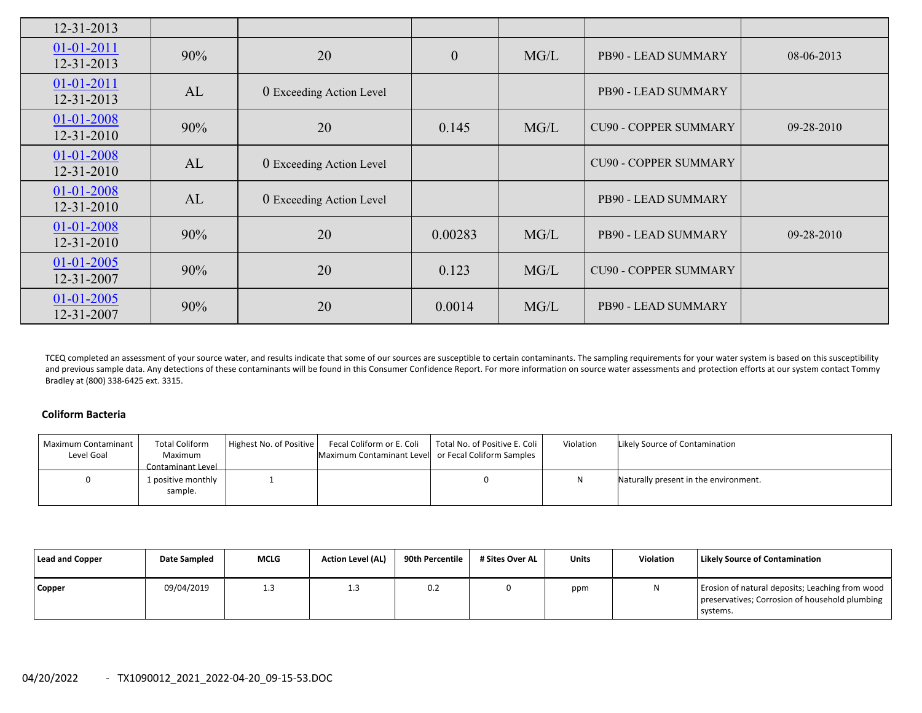| 12-31-2013                     |     |                          |                  |      |                              |                  |
|--------------------------------|-----|--------------------------|------------------|------|------------------------------|------------------|
| $01 - 01 - 2011$<br>12-31-2013 | 90% | 20                       | $\boldsymbol{0}$ | MG/L | PB90 - LEAD SUMMARY          | $08-06-2013$     |
| $01 - 01 - 2011$<br>12-31-2013 | AL  | 0 Exceeding Action Level |                  |      | PB90 - LEAD SUMMARY          |                  |
| 01-01-2008<br>12-31-2010       | 90% | 20                       | 0.145            | MG/L | <b>CU90 - COPPER SUMMARY</b> | 09-28-2010       |
| 01-01-2008<br>12-31-2010       | AL  | 0 Exceeding Action Level |                  |      | <b>CU90 - COPPER SUMMARY</b> |                  |
| 01-01-2008<br>12-31-2010       | AL  | 0 Exceeding Action Level |                  |      | PB90 - LEAD SUMMARY          |                  |
| 01-01-2008<br>12-31-2010       | 90% | 20                       | 0.00283          | MG/L | PB90 - LEAD SUMMARY          | $09 - 28 - 2010$ |
| $01 - 01 - 2005$<br>12-31-2007 | 90% | 20                       | 0.123            | MG/L | <b>CU90 - COPPER SUMMARY</b> |                  |
| $01 - 01 - 2005$<br>12-31-2007 | 90% | 20                       | 0.0014           | MG/L | PB90 - LEAD SUMMARY          |                  |

TCEQ completed an assessment of your source water, and results indicate that some of our sources are susceptible to certain contaminants. The sampling requirements for your water system is based on this susceptibility and previous sample data. Any detections of these contaminants will be found in this Consumer Confidence Report. For more information on source water assessments and protection efforts at our system contact Tommy Bradley at (800) 338‐6425 ext. 3315.

### **Coliform Bacteria**

| Maximum Contaminant<br>Level Goal | <b>Total Coliform</b><br>Maximum<br>Contaminant Level | Highest No. of Positive | Fecal Coliform or E. Coli<br>Maximum Contaminant Level or Fecal Coliform Samples | Total No. of Positive E. Coli | Violation | Likely Source of Contamination        |
|-----------------------------------|-------------------------------------------------------|-------------------------|----------------------------------------------------------------------------------|-------------------------------|-----------|---------------------------------------|
|                                   | 1 positive monthly<br>sample.                         |                         |                                                                                  |                               |           | Naturally present in the environment. |

| Lead and Copper | Date Sampled | <b>MCLG</b> | <b>Action Level (AL)</b> | 90th Percentile | # Sites Over AL | <b>Units</b> | Violation | <b>Likely Source of Contamination</b>                                                                         |
|-----------------|--------------|-------------|--------------------------|-----------------|-----------------|--------------|-----------|---------------------------------------------------------------------------------------------------------------|
| Copper          | 09/04/2019   | 1.3         | 1.3                      | 0.2             |                 | ppm          | N         | Erosion of natural deposits; Leaching from wood<br>preservatives; Corrosion of household plumbing<br>systems. |